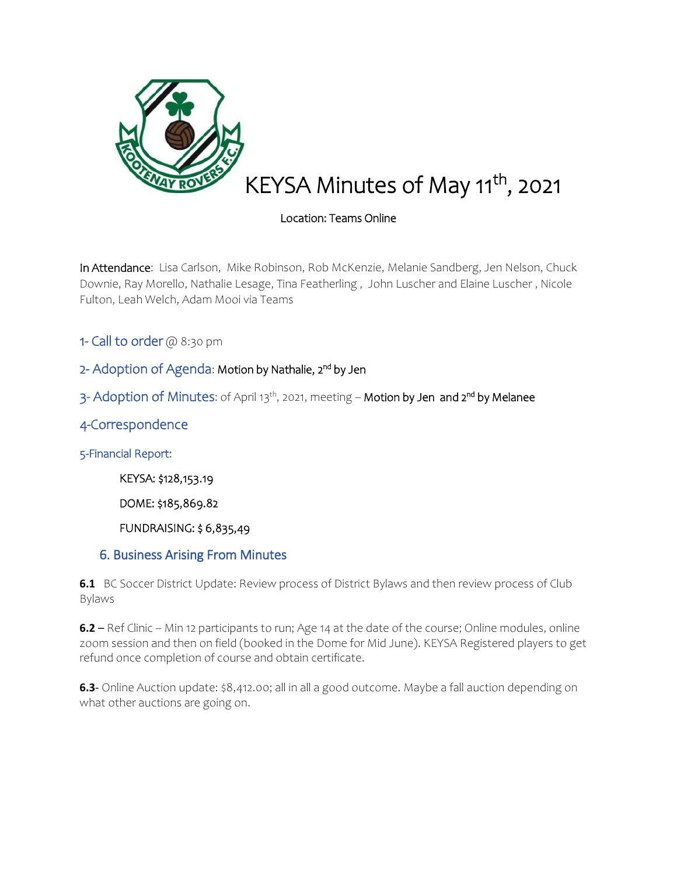

# KEYSA Minutes of May 11<sup>th</sup>, 2021

## Location: Teams Online

In Attendance: Lisa Carlson, Mike Robinson, Rob McKenzie, Melanie Sandberg, Jen Nelson, Chuck Downie, Ray Morello, Nathalie Lesage, Tina Featherling , John Luscher and Elaine Luscher , Nicole Fulton, Leah Welch, Adam Mooi via Teams

1- Call to order @ 8:30 pm

## 2- Adoption of Agenda: Motion by Nathalie, 2<sup>nd</sup> by Jen

3- Adoption of Minutes: of April 13<sup>th</sup>, 2021, meeting – **Motion by Jen and 2<sup>nd</sup> by Melanee** 

## 4-Correspondence

5-Financial Report:

KEYSA: \$128,153.19

DOME: \$185,869.82

FUNDRAISING: \$ 6,835,49

#### 6. Business Arising From Minutes

**6.1** BC Soccer District Update: Review process of District Bylaws and then review process of Club Bylaws

**6.2** – Ref Clinic – Min 12 participants to run; Age 14 at the date of the course; Online modules, online zoom session and then on field (booked in the Dome for Mid June). KEYSA Registered players to get refund once completion of course and obtain certificate.

**6.3**- Online Auction update: \$8,412.00; all in all a good outcome. Maybe a fall auction depending on what other auctions are going on.